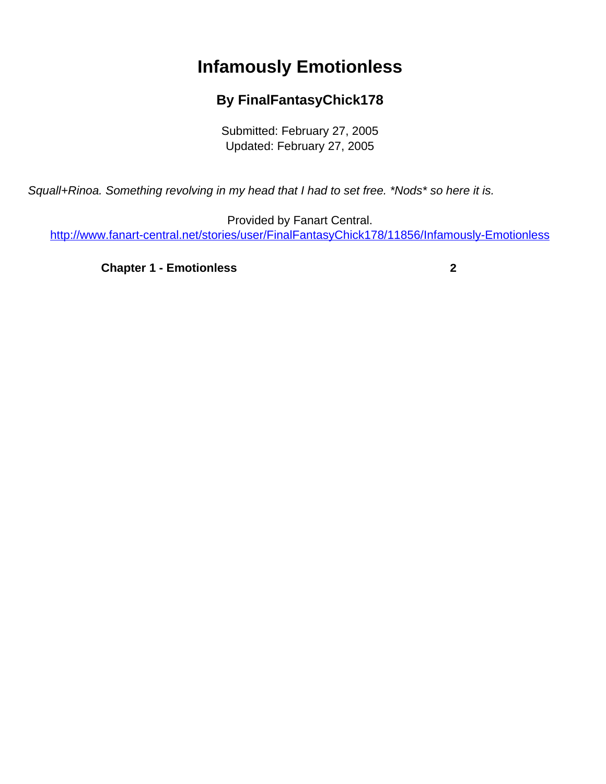## **Infamously Emotionless**

## **By FinalFantasyChick178**

Submitted: February 27, 2005 Updated: February 27, 2005

<span id="page-0-0"></span>Squall+Rinoa. Something revolving in my head that I had to set free. \*Nods\* so here it is.

Provided by Fanart Central. [http://www.fanart-central.net/stories/user/FinalFantasyChick178/11856/Infamously-Emotionless](#page-0-0)

**[Chapter 1 - Emotionless](#page-1-0) [2](#page-1-0)**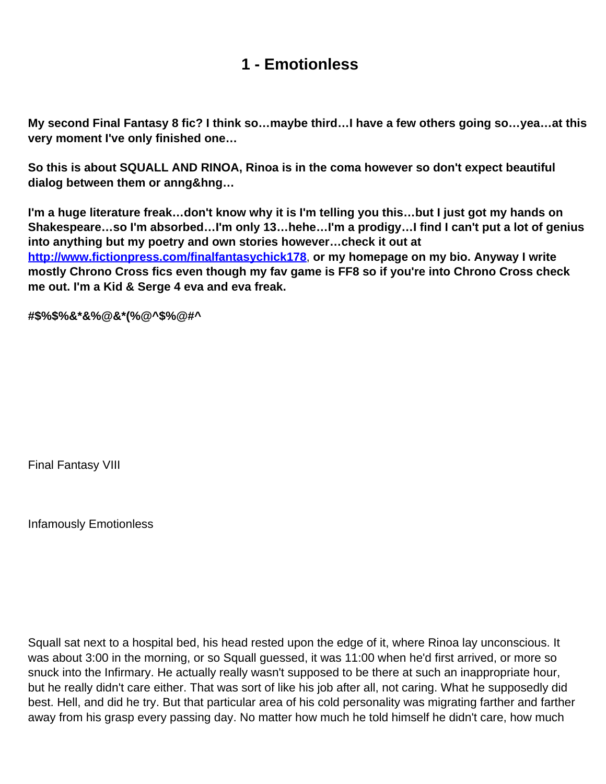## **1 - Emotionless**

<span id="page-1-0"></span>**My second Final Fantasy 8 fic? I think so…maybe third…I have a few others going so…yea…at this very moment I've only finished one…**

**So this is about SQUALL AND RINOA, Rinoa is in the coma however so don't expect beautiful dialog between them or anng&hng…**

**I'm a huge literature freak…don't know why it is I'm telling you this…but I just got my hands on Shakespeare…so I'm absorbed…I'm only 13…hehe…I'm a prodigy…I find I can't put a lot of genius into anything but my poetry and own stories however…check it out at http://www.fictionpress.com/finalfantasychick178**, **or my homepage on my bio. Anyway I write mostly Chrono Cross fics even though my fav game is FF8 so if you're into Chrono Cross check me out. I'm a Kid & Serge 4 eva and eva freak.** 

**#\$%\$%&\*&%@&\*(%@^\$%@#^**

Final Fantasy VIII

Infamously Emotionless

Squall sat next to a hospital bed, his head rested upon the edge of it, where Rinoa lay unconscious. It was about 3:00 in the morning, or so Squall guessed, it was 11:00 when he'd first arrived, or more so snuck into the Infirmary. He actually really wasn't supposed to be there at such an inappropriate hour, but he really didn't care either. That was sort of like his job after all, not caring. What he supposedly did best. Hell, and did he try. But that particular area of his cold personality was migrating farther and farther away from his grasp every passing day. No matter how much he told himself he didn't care, how much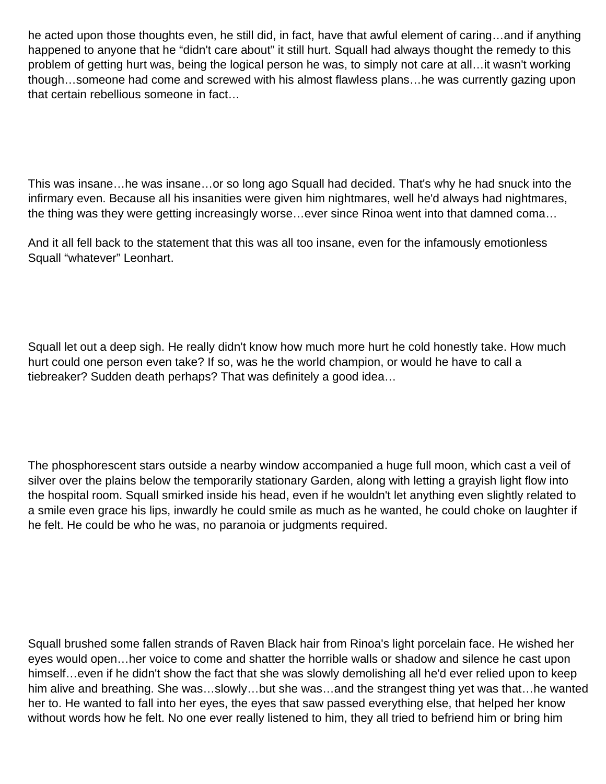he acted upon those thoughts even, he still did, in fact, have that awful element of caring…and if anything happened to anyone that he "didn't care about" it still hurt. Squall had always thought the remedy to this problem of getting hurt was, being the logical person he was, to simply not care at all…it wasn't working though…someone had come and screwed with his almost flawless plans…he was currently gazing upon that certain rebellious someone in fact…

This was insane…he was insane…or so long ago Squall had decided. That's why he had snuck into the infirmary even. Because all his insanities were given him nightmares, well he'd always had nightmares, the thing was they were getting increasingly worse…ever since Rinoa went into that damned coma…

And it all fell back to the statement that this was all too insane, even for the infamously emotionless Squall "whatever" Leonhart.

Squall let out a deep sigh. He really didn't know how much more hurt he cold honestly take. How much hurt could one person even take? If so, was he the world champion, or would he have to call a tiebreaker? Sudden death perhaps? That was definitely a good idea…

The phosphorescent stars outside a nearby window accompanied a huge full moon, which cast a veil of silver over the plains below the temporarily stationary Garden, along with letting a grayish light flow into the hospital room. Squall smirked inside his head, even if he wouldn't let anything even slightly related to a smile even grace his lips, inwardly he could smile as much as he wanted, he could choke on laughter if he felt. He could be who he was, no paranoia or judgments required.

Squall brushed some fallen strands of Raven Black hair from Rinoa's light porcelain face. He wished her eyes would open…her voice to come and shatter the horrible walls or shadow and silence he cast upon himself...even if he didn't show the fact that she was slowly demolishing all he'd ever relied upon to keep him alive and breathing. She was…slowly…but she was…and the strangest thing yet was that…he wanted her to. He wanted to fall into her eyes, the eyes that saw passed everything else, that helped her know without words how he felt. No one ever really listened to him, they all tried to befriend him or bring him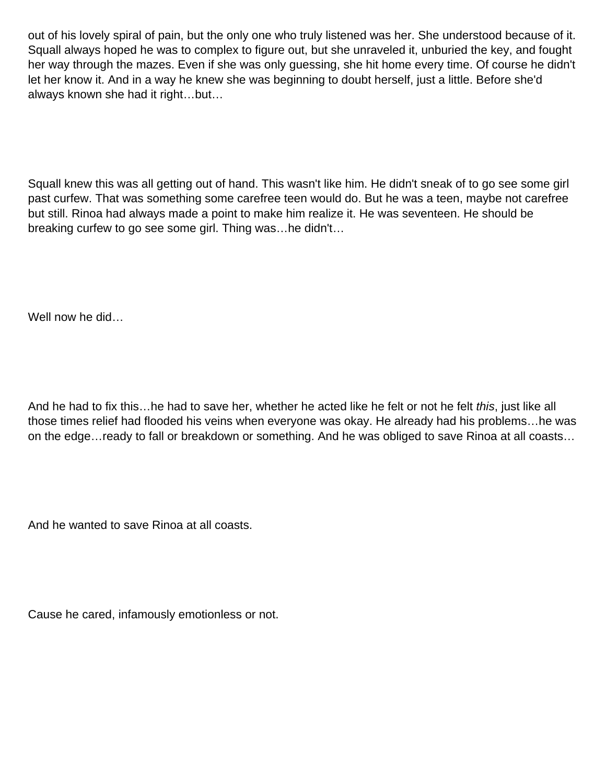out of his lovely spiral of pain, but the only one who truly listened was her. She understood because of it. Squall always hoped he was to complex to figure out, but she unraveled it, unburied the key, and fought her way through the mazes. Even if she was only guessing, she hit home every time. Of course he didn't let her know it. And in a way he knew she was beginning to doubt herself, just a little. Before she'd always known she had it right…but…

Squall knew this was all getting out of hand. This wasn't like him. He didn't sneak of to go see some girl past curfew. That was something some carefree teen would do. But he was a teen, maybe not carefree but still. Rinoa had always made a point to make him realize it. He was seventeen. He should be breaking curfew to go see some girl. Thing was…he didn't…

Well now he did…

And he had to fix this...he had to save her, whether he acted like he felt or not he felt this, just like all those times relief had flooded his veins when everyone was okay. He already had his problems…he was on the edge…ready to fall or breakdown or something. And he was obliged to save Rinoa at all coasts…

And he wanted to save Rinoa at all coasts.

Cause he cared, infamously emotionless or not.